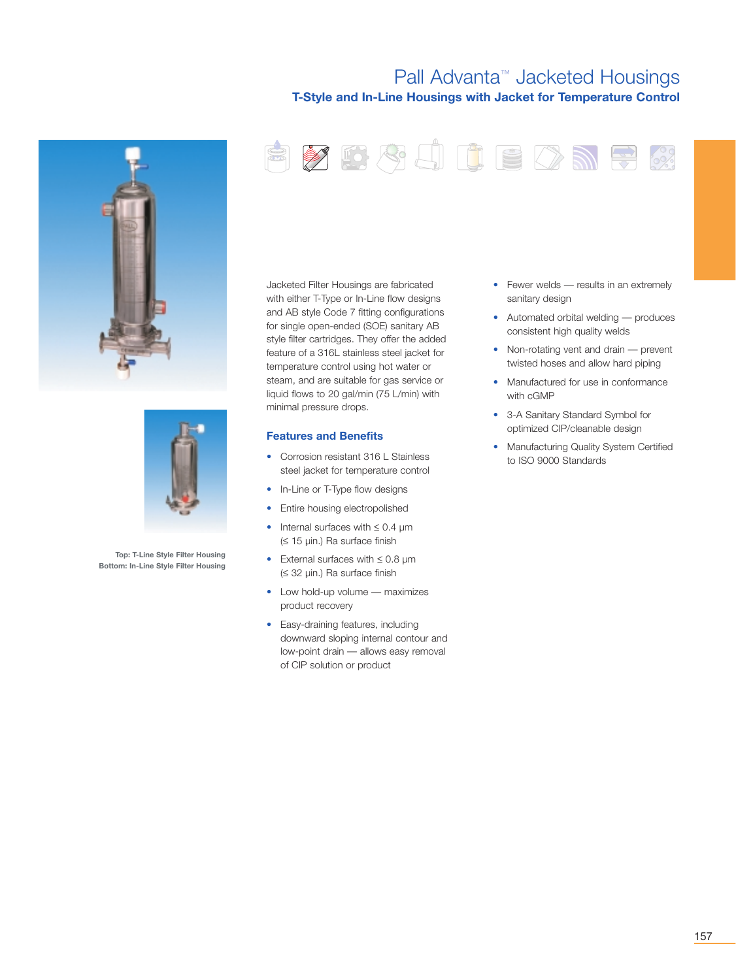## Pall Advanta™ Jacketed Housings **T-Style and In-Line Housings with Jacket for Temperature Control**

RYDAJUEDNRA:





**Top: T-Line Style Filter Housing Bottom: In-Line Style Filter Housing** Jacketed Filter Housings are fabricated with either T-Type or In-Line flow designs and AB style Code 7 fitting configurations for single open-ended (SOE) sanitary AB style filter cartridges. They offer the added feature of a 316L stainless steel jacket for temperature control using hot water or steam, and are suitable for gas service or liquid flows to 20 gal/min (75 L/min) with minimal pressure drops.

### **Features and Benefits**

- Corrosion resistant 316 L Stainless steel jacket for temperature control
- In-Line or T-Type flow designs
- Entire housing electropolished
- Internal surfaces with ≤ 0.4 µm (≤ 15 µin.) Ra surface finish
- External surfaces with ≤ 0.8 µm (≤ 32 µin.) Ra surface finish
- Low hold-up volume maximizes product recovery
- Easy-draining features, including downward sloping internal contour and low-point drain — allows easy removal of CIP solution or product
- Fewer welds results in an extremely sanitary design
- Automated orbital welding produces consistent high quality welds
- Non-rotating vent and drain prevent twisted hoses and allow hard piping
- Manufactured for use in conformance with cGMP
- 3-A Sanitary Standard Symbol for optimized CIP/cleanable design
- Manufacturing Quality System Certified to ISO 9000 Standards